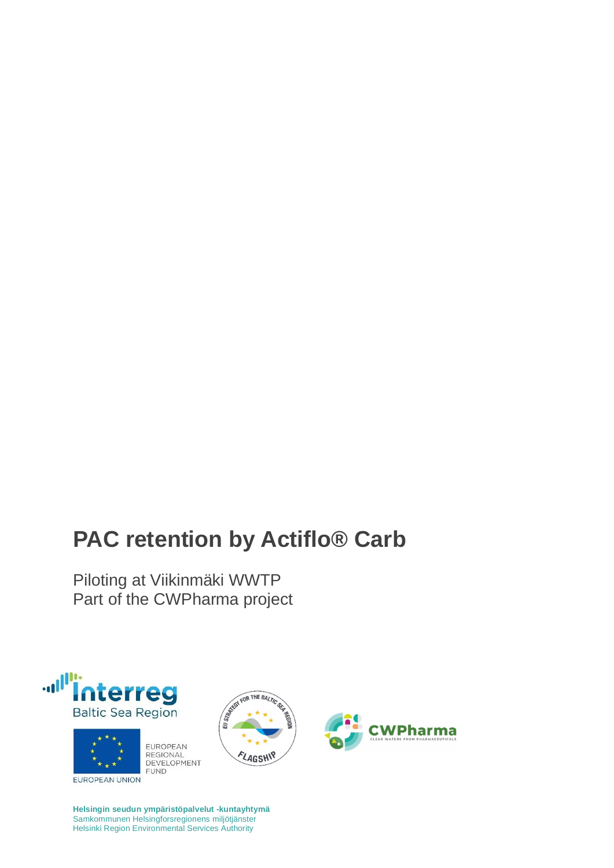## **PAC retention by Actiflo® Carb**

Piloting at Viikinmäki WWTP Part of the CWPharma project









**Helsingin seudun ympäristöpalvelut -kuntayhtymä** Samkommunen Helsingforsregionens miljötjänster Helsinki Region Environmental Services Authority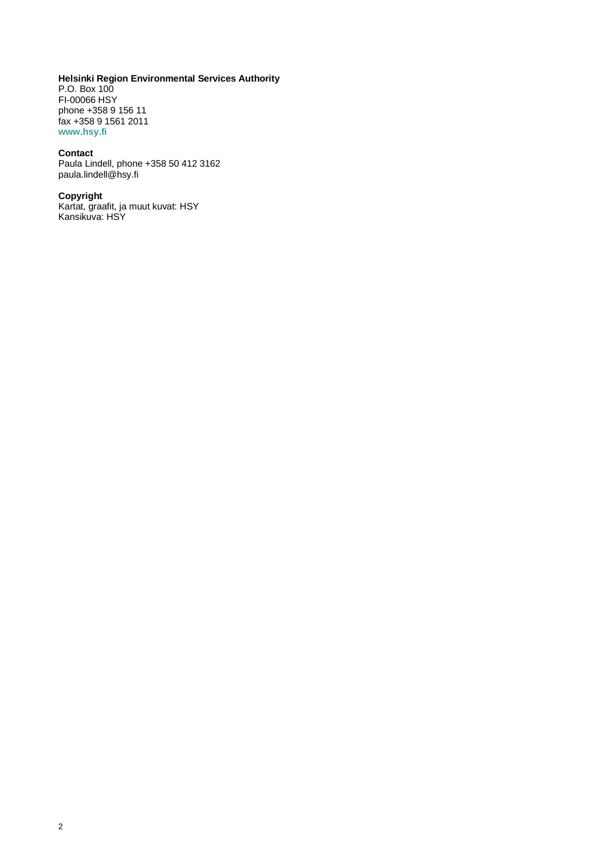#### **Helsinki Region Environmental Services Authority**

P.O. Box 100 FI-00066 HSY phone +358 9 156 11 fax +358 9 1561 2011 **www.hsy.fi**

#### **Contact**

Paula Lindell, phone +358 50 412 3162 paula.lindell@hsy.fi

#### **Copyright**

Kartat, graafit, ja muut kuvat: HSY Kansikuva: HSY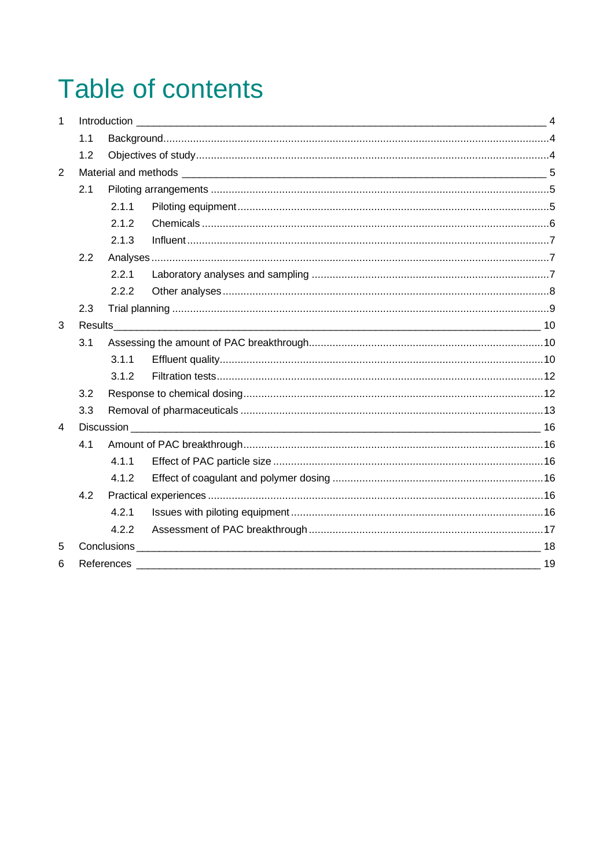# **Table of contents**

| $\mathbf{1}$   |                |       |                                                                                                                                                                                                                                |  |  |  |  |  |
|----------------|----------------|-------|--------------------------------------------------------------------------------------------------------------------------------------------------------------------------------------------------------------------------------|--|--|--|--|--|
|                | 1.1            |       |                                                                                                                                                                                                                                |  |  |  |  |  |
|                | 1.2            |       |                                                                                                                                                                                                                                |  |  |  |  |  |
| 2              |                |       |                                                                                                                                                                                                                                |  |  |  |  |  |
|                | 2.1            |       |                                                                                                                                                                                                                                |  |  |  |  |  |
|                |                | 2.1.1 |                                                                                                                                                                                                                                |  |  |  |  |  |
|                |                | 2.1.2 |                                                                                                                                                                                                                                |  |  |  |  |  |
|                |                | 2.1.3 |                                                                                                                                                                                                                                |  |  |  |  |  |
|                | 2.2            |       |                                                                                                                                                                                                                                |  |  |  |  |  |
|                |                | 2.2.1 |                                                                                                                                                                                                                                |  |  |  |  |  |
|                |                | 2.2.2 |                                                                                                                                                                                                                                |  |  |  |  |  |
|                | 2.3            |       |                                                                                                                                                                                                                                |  |  |  |  |  |
| 3              |                |       |                                                                                                                                                                                                                                |  |  |  |  |  |
|                | 3.1            |       |                                                                                                                                                                                                                                |  |  |  |  |  |
|                |                | 3.1.1 |                                                                                                                                                                                                                                |  |  |  |  |  |
|                |                | 3.1.2 |                                                                                                                                                                                                                                |  |  |  |  |  |
|                | 3.2            |       |                                                                                                                                                                                                                                |  |  |  |  |  |
|                | 3.3            |       |                                                                                                                                                                                                                                |  |  |  |  |  |
| $\overline{4}$ |                |       |                                                                                                                                                                                                                                |  |  |  |  |  |
|                | 4.1            |       |                                                                                                                                                                                                                                |  |  |  |  |  |
|                |                | 4.1.1 |                                                                                                                                                                                                                                |  |  |  |  |  |
|                |                | 4.1.2 |                                                                                                                                                                                                                                |  |  |  |  |  |
|                | 4.2            |       |                                                                                                                                                                                                                                |  |  |  |  |  |
|                |                | 4.2.1 |                                                                                                                                                                                                                                |  |  |  |  |  |
|                |                | 4.2.2 |                                                                                                                                                                                                                                |  |  |  |  |  |
| 5              | Conclusions 18 |       |                                                                                                                                                                                                                                |  |  |  |  |  |
| 6              |                |       | References and the contract of the contract of the contract of the contract of the contract of the contract of the contract of the contract of the contract of the contract of the contract of the contract of the contract of |  |  |  |  |  |
|                |                |       |                                                                                                                                                                                                                                |  |  |  |  |  |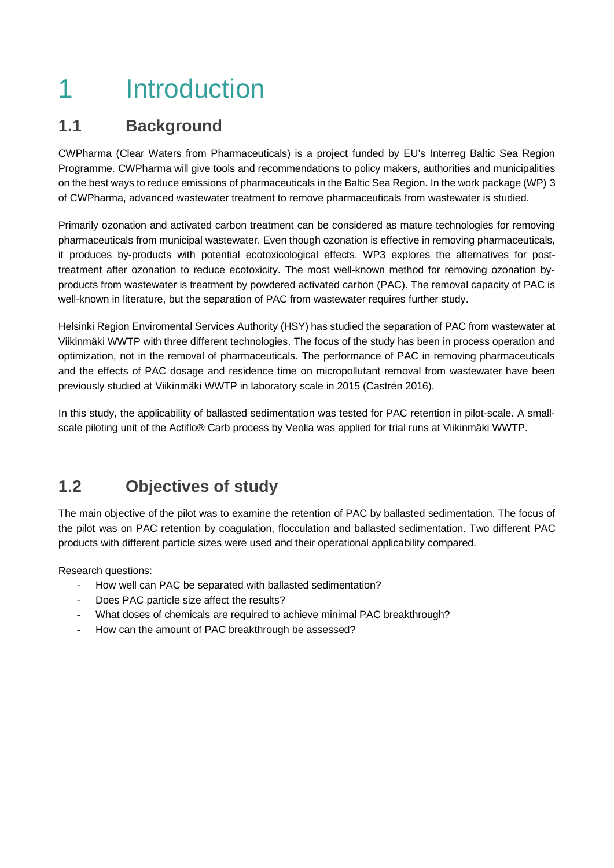## 1 Introduction

### **1.1 Background**

CWPharma (Clear Waters from Pharmaceuticals) is a project funded by EU's Interreg Baltic Sea Region Programme. CWPharma will give tools and recommendations to policy makers, authorities and municipalities on the best ways to reduce emissions of pharmaceuticals in the Baltic Sea Region. In the work package (WP) 3 of CWPharma, advanced wastewater treatment to remove pharmaceuticals from wastewater is studied.

Primarily ozonation and activated carbon treatment can be considered as mature technologies for removing pharmaceuticals from municipal wastewater. Even though ozonation is effective in removing pharmaceuticals, it produces by-products with potential ecotoxicological effects. WP3 explores the alternatives for posttreatment after ozonation to reduce ecotoxicity. The most well-known method for removing ozonation byproducts from wastewater is treatment by powdered activated carbon (PAC). The removal capacity of PAC is well-known in literature, but the separation of PAC from wastewater requires further study.

Helsinki Region Enviromental Services Authority (HSY) has studied the separation of PAC from wastewater at Viikinmäki WWTP with three different technologies. The focus of the study has been in process operation and optimization, not in the removal of pharmaceuticals. The performance of PAC in removing pharmaceuticals and the effects of PAC dosage and residence time on micropollutant removal from wastewater have been previously studied at Viikinmäki WWTP in laboratory scale in 2015 (Castrén 2016).

In this study, the applicability of ballasted sedimentation was tested for PAC retention in pilot-scale. A smallscale piloting unit of the Actiflo® Carb process by Veolia was applied for trial runs at Viikinmäki WWTP.

### **1.2 Objectives of study**

The main objective of the pilot was to examine the retention of PAC by ballasted sedimentation. The focus of the pilot was on PAC retention by coagulation, flocculation and ballasted sedimentation. Two different PAC products with different particle sizes were used and their operational applicability compared.

Research questions:

- How well can PAC be separated with ballasted sedimentation?
- Does PAC particle size affect the results?
- What doses of chemicals are required to achieve minimal PAC breakthrough?
- How can the amount of PAC breakthrough be assessed?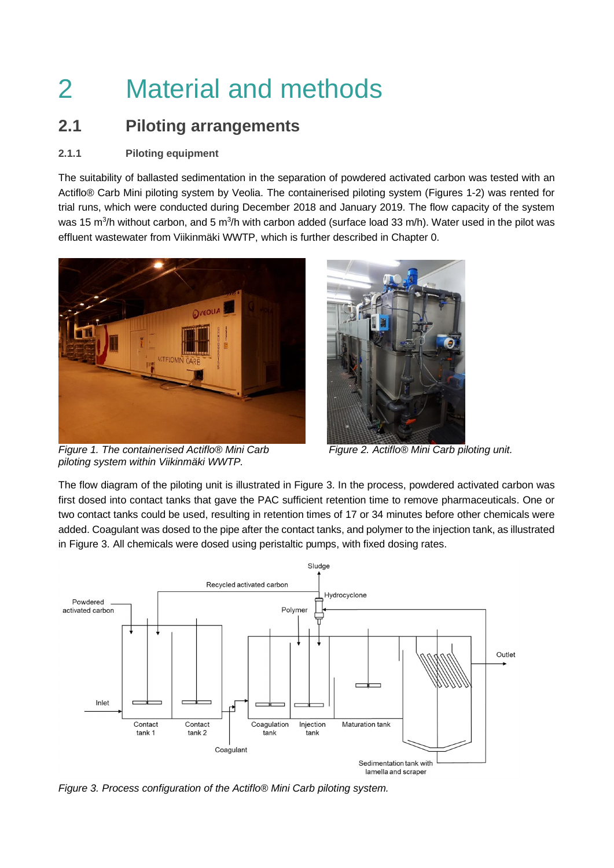# 2 Material and methods

### **2.1 Piloting arrangements**

### **2.1.1 Piloting equipment**

The suitability of ballasted sedimentation in the separation of powdered activated carbon was tested with an Actiflo® Carb Mini piloting system by Veolia. The containerised piloting system (Figures 1-2) was rented for trial runs, which were conducted during December 2018 and January 2019. The flow capacity of the system was 15 m<sup>3</sup>/h without carbon, and 5 m<sup>3</sup>/h with carbon added (surface load 33 m/h). Water used in the pilot was effluent wastewater from Viikinmäki WWTP, which is further described in Chapter 0.



*Figure 1. The containerised Actiflo® Mini Carb piloting system within Viikinmäki WWTP.*



*Figure 2. Actiflo® Mini Carb piloting unit.*

The flow diagram of the piloting unit is illustrated in Figure 3. In the process, powdered activated carbon was first dosed into contact tanks that gave the PAC sufficient retention time to remove pharmaceuticals. One or two contact tanks could be used, resulting in retention times of 17 or 34 minutes before other chemicals were added. Coagulant was dosed to the pipe after the contact tanks, and polymer to the injection tank, as illustrated in Figure 3. All chemicals were dosed using peristaltic pumps, with fixed dosing rates.



*Figure 3. Process configuration of the Actiflo® Mini Carb piloting system.*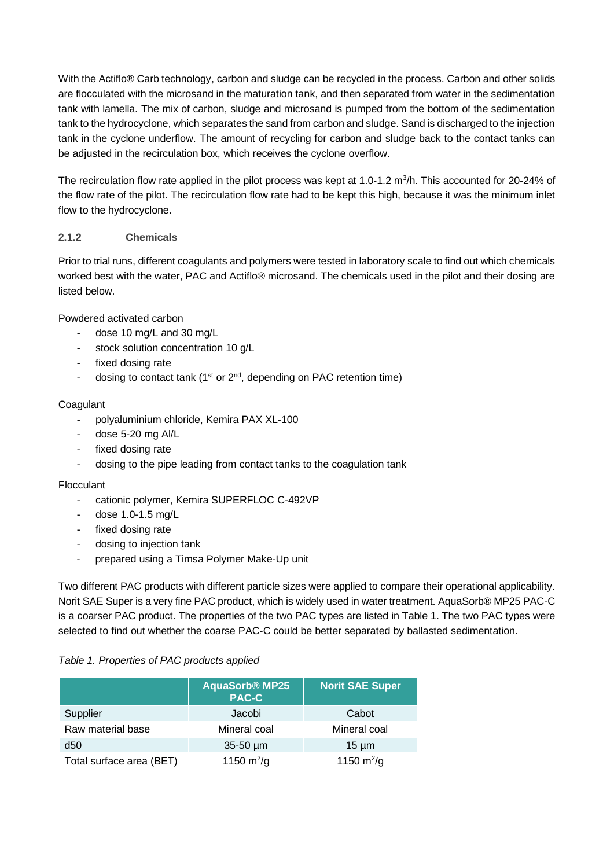With the Actiflo® Carb technology, carbon and sludge can be recycled in the process. Carbon and other solids are flocculated with the microsand in the maturation tank, and then separated from water in the sedimentation tank with lamella. The mix of carbon, sludge and microsand is pumped from the bottom of the sedimentation tank to the hydrocyclone, which separates the sand from carbon and sludge. Sand is discharged to the injection tank in the cyclone underflow. The amount of recycling for carbon and sludge back to the contact tanks can be adjusted in the recirculation box, which receives the cyclone overflow.

The recirculation flow rate applied in the pilot process was kept at 1.0-1.2 m<sup>3</sup>/h. This accounted for 20-24% of the flow rate of the pilot. The recirculation flow rate had to be kept this high, because it was the minimum inlet flow to the hydrocyclone.

### **2.1.2 Chemicals**

Prior to trial runs, different coagulants and polymers were tested in laboratory scale to find out which chemicals worked best with the water, PAC and Actiflo® microsand. The chemicals used in the pilot and their dosing are listed below.

Powdered activated carbon

- dose 10 mg/L and 30 mg/L
- stock solution concentration 10 g/L
- fixed dosing rate
- dosing to contact tank  $(1^{st}$  or  $2^{nd}$ , depending on PAC retention time)

#### **Coagulant**

- polyaluminium chloride, Kemira PAX XL-100
- dose 5-20 mg Al/L
- fixed dosing rate
- dosing to the pipe leading from contact tanks to the coagulation tank

#### **Flocculant**

- cationic polymer, Kemira SUPERFLOC C-492VP
- dose 1.0-1.5 mg/L
- fixed dosing rate
- dosing to injection tank
- prepared using a Timsa Polymer Make-Up unit

Two different PAC products with different particle sizes were applied to compare their operational applicability. Norit SAE Super is a very fine PAC product, which is widely used in water treatment. AquaSorb® MP25 PAC-C is a coarser PAC product. The properties of the two PAC types are listed in Table 1. The two PAC types were selected to find out whether the coarse PAC-C could be better separated by ballasted sedimentation.

#### *Table 1. Properties of PAC products applied*

|                          | <b>AquaSorb<sup>®</sup> MP25</b><br><b>PAC-C</b> | <b>Norit SAE Super</b> |
|--------------------------|--------------------------------------------------|------------------------|
| Supplier                 | Jacobi                                           | Cabot                  |
| Raw material base        | Mineral coal                                     | Mineral coal           |
| d50                      | $35-50 \mu m$                                    | $15 \mu m$             |
| Total surface area (BET) | 1150 $m^2/g$                                     | 1150 $m^2$ /g          |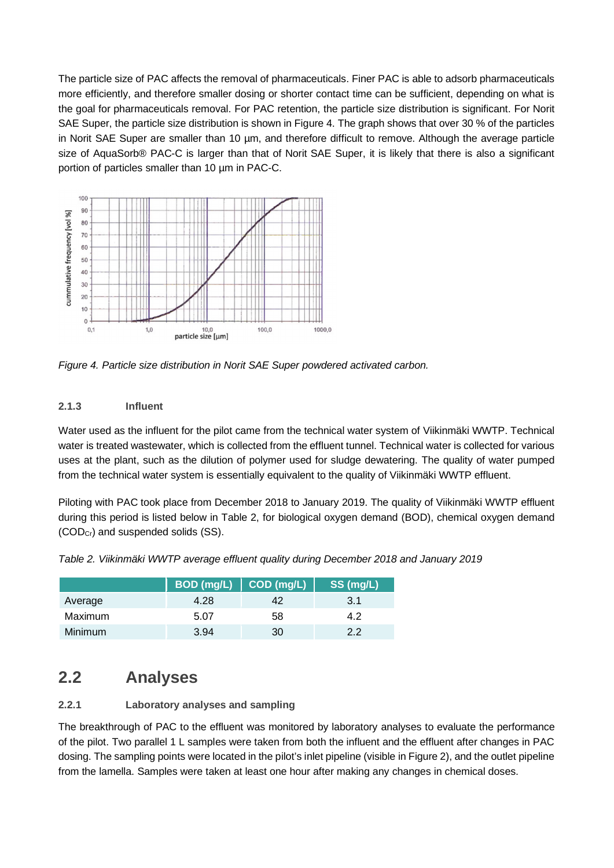The particle size of PAC affects the removal of pharmaceuticals. Finer PAC is able to adsorb pharmaceuticals more efficiently, and therefore smaller dosing or shorter contact time can be sufficient, depending on what is the goal for pharmaceuticals removal. For PAC retention, the particle size distribution is significant. For Norit SAE Super, the particle size distribution is shown in Figure 4. The graph shows that over 30 % of the particles in Norit SAE Super are smaller than 10 µm, and therefore difficult to remove. Although the average particle size of AquaSorb® PAC-C is larger than that of Norit SAE Super, it is likely that there is also a significant portion of particles smaller than 10 µm in PAC-C.



*Figure 4. Particle size distribution in Norit SAE Super powdered activated carbon.*

#### **2.1.3 Influent**

Water used as the influent for the pilot came from the technical water system of Viikinmäki WWTP. Technical water is treated wastewater, which is collected from the effluent tunnel. Technical water is collected for various uses at the plant, such as the dilution of polymer used for sludge dewatering. The quality of water pumped from the technical water system is essentially equivalent to the quality of Viikinmäki WWTP effluent.

Piloting with PAC took place from December 2018 to January 2019. The quality of Viikinmäki WWTP effluent during this period is listed below in Table 2, for biological oxygen demand (BOD), chemical oxygen demand (CODCr) and suspended solids (SS).

|                |      | $BOD$ (mg/L) $\vert$ COD (mg/L) | SS (mg/L) |
|----------------|------|---------------------------------|-----------|
| Average        | 4.28 | 42                              | 3.1       |
| Maximum        | 5.07 | 58                              | 42        |
| <b>Minimum</b> | 3.94 | 30                              | っっ        |

*Table 2. Viikinmäki WWTP average effluent quality during December 2018 and January 2019*

### **2.2 Analyses**

### **2.2.1 Laboratory analyses and sampling**

The breakthrough of PAC to the effluent was monitored by laboratory analyses to evaluate the performance of the pilot. Two parallel 1 L samples were taken from both the influent and the effluent after changes in PAC dosing. The sampling points were located in the pilot's inlet pipeline (visible in Figure 2), and the outlet pipeline from the lamella. Samples were taken at least one hour after making any changes in chemical doses.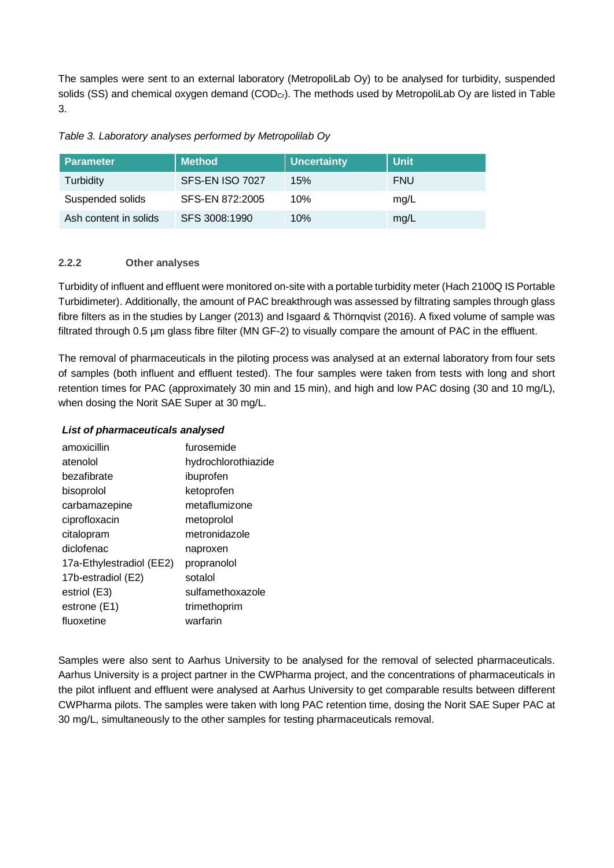The samples were sent to an external laboratory (MetropoliLab Oy) to be analysed for turbidity, suspended solids (SS) and chemical oxygen demand (COD<sub>Cr</sub>). The methods used by MetropoliLab Oy are listed in Table 3.

| Table 3. Laboratory analyses performed by Metropolilab Oy |  |  |  |  |
|-----------------------------------------------------------|--|--|--|--|
|-----------------------------------------------------------|--|--|--|--|

| <b>Parameter</b>      | <b>Method</b>   | <b>Uncertainty</b> | <b>Unit</b> |
|-----------------------|-----------------|--------------------|-------------|
| Turbidity             | SFS-EN ISO 7027 | 15%                | FNU         |
| Suspended solids      | SFS-EN 872:2005 | 10%                | mg/L        |
| Ash content in solids | SFS 3008:1990   | 10%                | mg/L        |

#### **2.2.2 Other analyses**

Turbidity of influent and effluent were monitored on-site with a portable turbidity meter (Hach 2100Q IS Portable Turbidimeter). Additionally, the amount of PAC breakthrough was assessed by filtrating samples through glass fibre filters as in the studies by Langer (2013) and Isgaard & Thörnqvist (2016). A fixed volume of sample was filtrated through 0.5 µm glass fibre filter (MN GF-2) to visually compare the amount of PAC in the effluent.

The removal of pharmaceuticals in the piloting process was analysed at an external laboratory from four sets of samples (both influent and effluent tested). The four samples were taken from tests with long and short retention times for PAC (approximately 30 min and 15 min), and high and low PAC dosing (30 and 10 mg/L), when dosing the Norit SAE Super at 30 mg/L.

#### *List of pharmaceuticals analysed*

| amoxicillin              | furosemide          |
|--------------------------|---------------------|
| atenolol                 | hydrochlorothiazide |
| bezafibrate              | ibuprofen           |
| bisoprolol               | ketoprofen          |
| carbamazepine            | metaflumizone       |
| ciprofloxacin            | metoprolol          |
| citalopram               | metronidazole       |
| diclofenac               | naproxen            |
| 17a-Ethylestradiol (EE2) | propranolol         |
| 17b-estradiol (E2)       | sotalol             |
| estriol (E3)             | sulfamethoxazole    |
| estrone (E1)             | trimethoprim        |
| fluoxetine               | warfarin            |

Samples were also sent to Aarhus University to be analysed for the removal of selected pharmaceuticals. Aarhus University is a project partner in the CWPharma project, and the concentrations of pharmaceuticals in the pilot influent and effluent were analysed at Aarhus University to get comparable results between different CWPharma pilots. The samples were taken with long PAC retention time, dosing the Norit SAE Super PAC at 30 mg/L, simultaneously to the other samples for testing pharmaceuticals removal.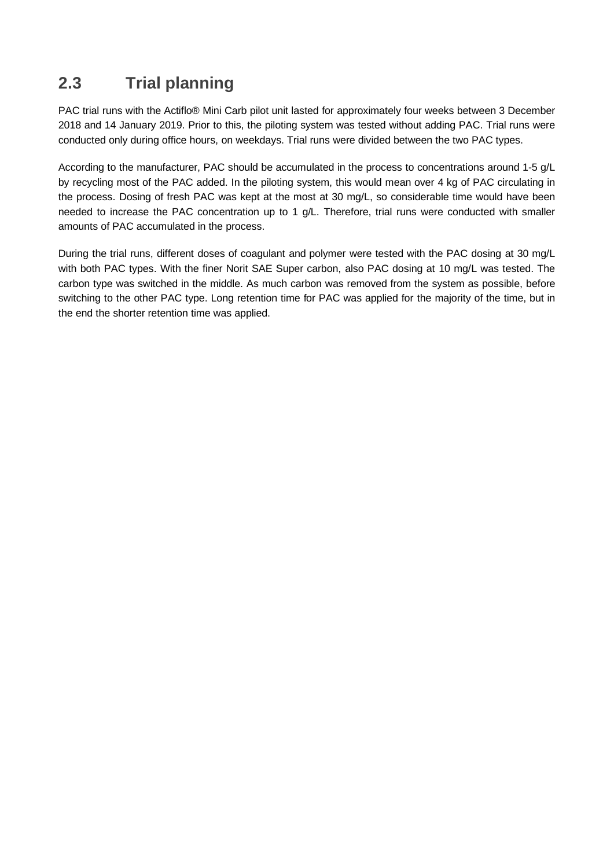### **2.3 Trial planning**

PAC trial runs with the Actiflo® Mini Carb pilot unit lasted for approximately four weeks between 3 December 2018 and 14 January 2019. Prior to this, the piloting system was tested without adding PAC. Trial runs were conducted only during office hours, on weekdays. Trial runs were divided between the two PAC types.

According to the manufacturer, PAC should be accumulated in the process to concentrations around 1-5 g/L by recycling most of the PAC added. In the piloting system, this would mean over 4 kg of PAC circulating in the process. Dosing of fresh PAC was kept at the most at 30 mg/L, so considerable time would have been needed to increase the PAC concentration up to 1 g/L. Therefore, trial runs were conducted with smaller amounts of PAC accumulated in the process.

During the trial runs, different doses of coagulant and polymer were tested with the PAC dosing at 30 mg/L with both PAC types. With the finer Norit SAE Super carbon, also PAC dosing at 10 mg/L was tested. The carbon type was switched in the middle. As much carbon was removed from the system as possible, before switching to the other PAC type. Long retention time for PAC was applied for the majority of the time, but in the end the shorter retention time was applied.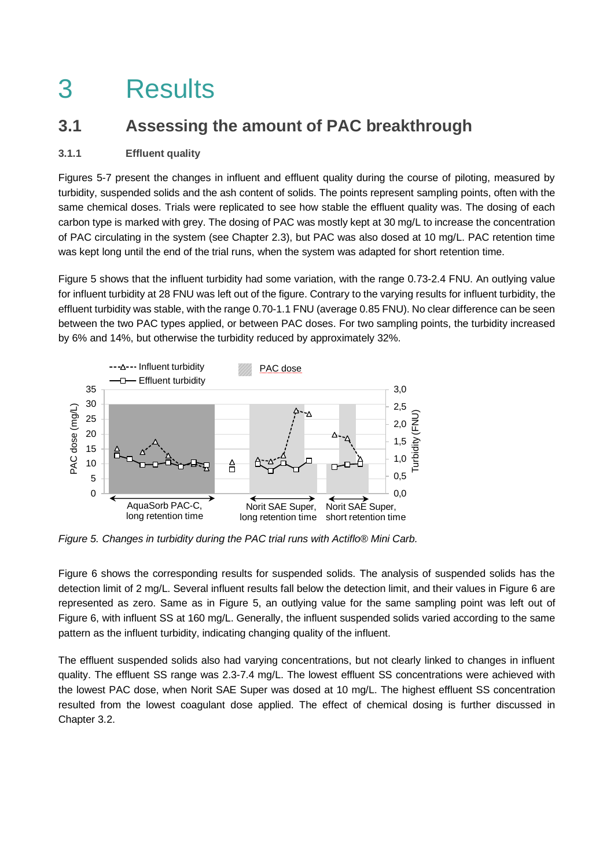## 3 Results

### **3.1 Assessing the amount of PAC breakthrough**

#### **3.1.1 Effluent quality**

Figures 5-7 present the changes in influent and effluent quality during the course of piloting, measured by turbidity, suspended solids and the ash content of solids. The points represent sampling points, often with the same chemical doses. Trials were replicated to see how stable the effluent quality was. The dosing of each carbon type is marked with grey. The dosing of PAC was mostly kept at 30 mg/L to increase the concentration of PAC circulating in the system (see Chapter 2.3), but PAC was also dosed at 10 mg/L. PAC retention time was kept long until the end of the trial runs, when the system was adapted for short retention time.

Figure 5 shows that the influent turbidity had some variation, with the range 0.73-2.4 FNU. An outlying value for influent turbidity at 28 FNU was left out of the figure. Contrary to the varying results for influent turbidity, the effluent turbidity was stable, with the range 0.70-1.1 FNU (average 0.85 FNU). No clear difference can be seen between the two PAC types applied, or between PAC doses. For two sampling points, the turbidity increased by 6% and 14%, but otherwise the turbidity reduced by approximately 32%.



*Figure 5. Changes in turbidity during the PAC trial runs with Actiflo® Mini Carb.*

Figure 6 shows the corresponding results for suspended solids. The analysis of suspended solids has the detection limit of 2 mg/L. Several influent results fall below the detection limit, and their values in Figure 6 are represented as zero. Same as in Figure 5, an outlying value for the same sampling point was left out of Figure 6, with influent SS at 160 mg/L. Generally, the influent suspended solids varied according to the same pattern as the influent turbidity, indicating changing quality of the influent.

The effluent suspended solids also had varying concentrations, but not clearly linked to changes in influent quality. The effluent SS range was 2.3-7.4 mg/L. The lowest effluent SS concentrations were achieved with the lowest PAC dose, when Norit SAE Super was dosed at 10 mg/L. The highest effluent SS concentration resulted from the lowest coagulant dose applied. The effect of chemical dosing is further discussed in Chapter 3.2.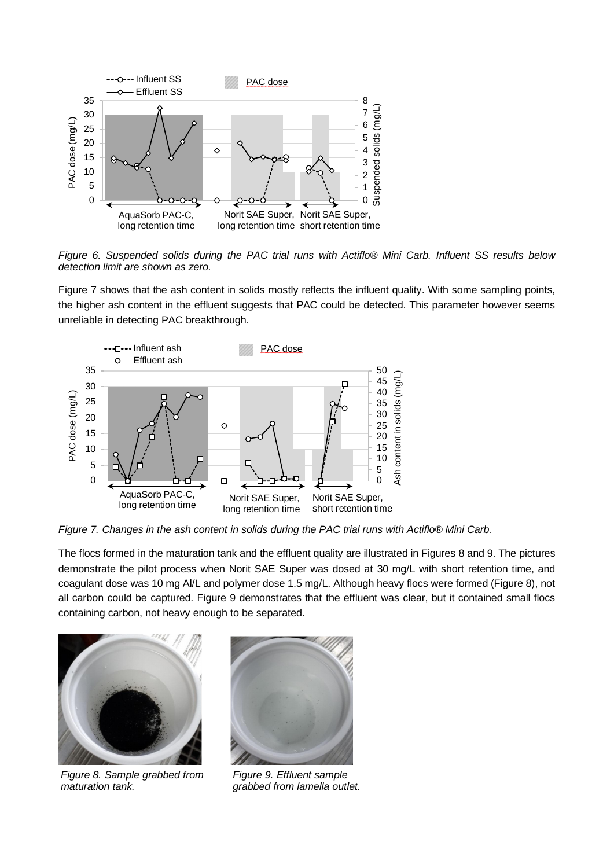

*Figure 6. Suspended solids during the PAC trial runs with Actiflo® Mini Carb. Influent SS results below detection limit are shown as zero.*

Figure 7 shows that the ash content in solids mostly reflects the influent quality. With some sampling points, the higher ash content in the effluent suggests that PAC could be detected. This parameter however seems unreliable in detecting PAC breakthrough.



*Figure 7. Changes in the ash content in solids during the PAC trial runs with Actiflo® Mini Carb.*

The flocs formed in the maturation tank and the effluent quality are illustrated in Figures 8 and 9. The pictures demonstrate the pilot process when Norit SAE Super was dosed at 30 mg/L with short retention time, and coagulant dose was 10 mg Al/L and polymer dose 1.5 mg/L. Although heavy flocs were formed (Figure 8), not all carbon could be captured. Figure 9 demonstrates that the effluent was clear, but it contained small flocs containing carbon, not heavy enough to be separated.



*Figure 8. Sample grabbed from maturation tank.*



*Figure 9. Effluent sample grabbed from lamella outlet.*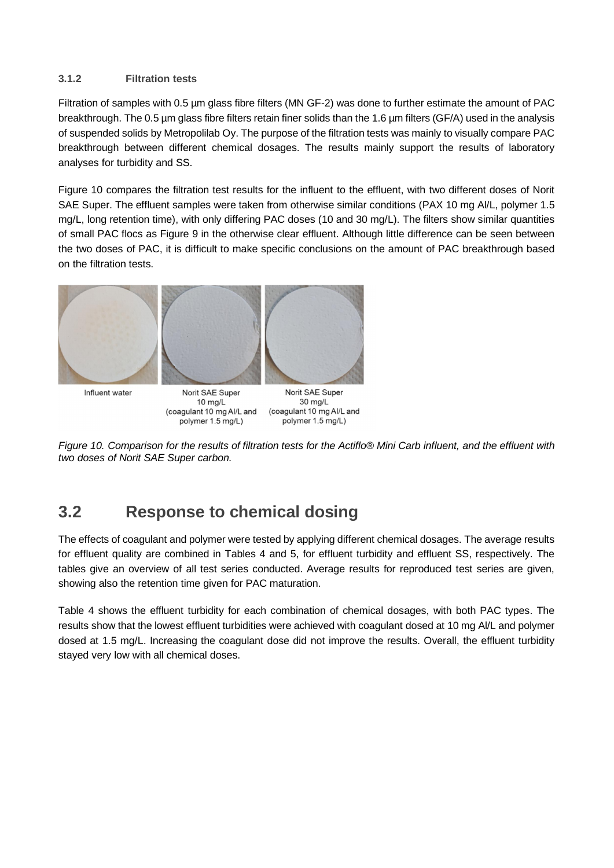#### **3.1.2 Filtration tests**

Filtration of samples with 0.5 µm glass fibre filters (MN GF-2) was done to further estimate the amount of PAC breakthrough. The 0.5 µm glass fibre filters retain finer solids than the 1.6 µm filters (GF/A) used in the analysis of suspended solids by Metropolilab Oy. The purpose of the filtration tests was mainly to visually compare PAC breakthrough between different chemical dosages. The results mainly support the results of laboratory analyses for turbidity and SS.

Figure 10 compares the filtration test results for the influent to the effluent, with two different doses of Norit SAE Super. The effluent samples were taken from otherwise similar conditions (PAX 10 mg Al/L, polymer 1.5 mg/L, long retention time), with only differing PAC doses (10 and 30 mg/L). The filters show similar quantities of small PAC flocs as Figure 9 in the otherwise clear effluent. Although little difference can be seen between the two doses of PAC, it is difficult to make specific conclusions on the amount of PAC breakthrough based on the filtration tests.



Influent water

Norit SAE Super 10 mg/L (coagulant 10 mg Al/L and polymer 1.5 mg/L)

30 mg/L (coagulant 10 mg Al/L and polymer 1.5 mg/L)



### **3.2 Response to chemical dosing**

The effects of coagulant and polymer were tested by applying different chemical dosages. The average results for effluent quality are combined in Tables 4 and 5, for effluent turbidity and effluent SS, respectively. The tables give an overview of all test series conducted. Average results for reproduced test series are given, showing also the retention time given for PAC maturation.

Table 4 shows the effluent turbidity for each combination of chemical dosages, with both PAC types. The results show that the lowest effluent turbidities were achieved with coagulant dosed at 10 mg Al/L and polymer dosed at 1.5 mg/L. Increasing the coagulant dose did not improve the results. Overall, the effluent turbidity stayed very low with all chemical doses.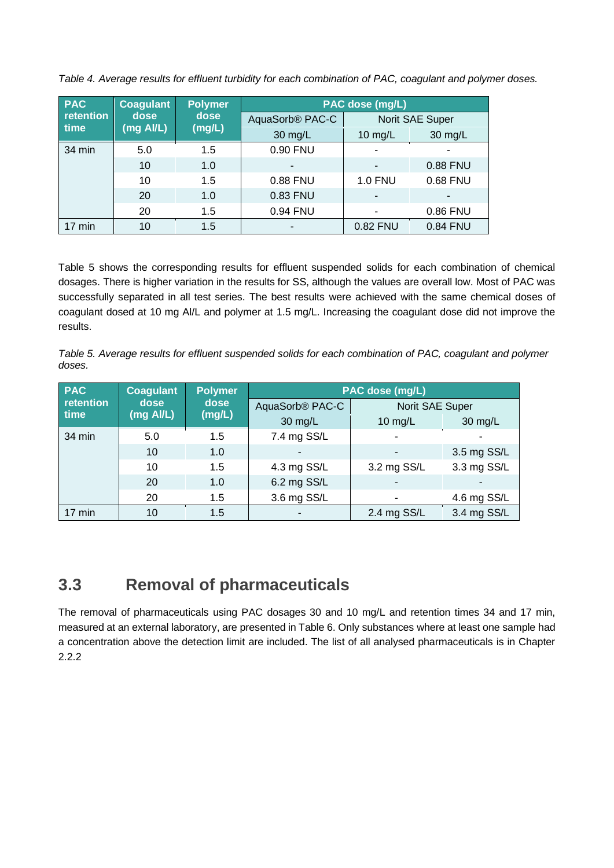| <b>PAC</b> | Coagulant | <b>Polymer</b> | PAC dose (mg/L)             |                |                 |  |  |
|------------|-----------|----------------|-----------------------------|----------------|-----------------|--|--|
| retention  | dose      | dose           | AquaSorb <sup>®</sup> PAC-C |                | Norit SAE Super |  |  |
| time       | (mg Al/L) | (mg/L)         | 30 mg/L                     | 10 $mg/L$      | 30 mg/L         |  |  |
| 34 min     | 5.0       | 1.5            | 0.90 FNU                    |                |                 |  |  |
|            | 10        | 1.0            |                             |                | 0.88 FNU        |  |  |
|            | 10        | 1.5            | 0.88 FNU                    | <b>1.0 FNU</b> | 0.68 FNU        |  |  |
|            | 20        | 1.0            | 0.83 FNU                    |                |                 |  |  |
|            | 20        | 1.5            | 0.94 FNU                    |                | 0.86 FNU        |  |  |
| 17 min     | 10        | 1.5            |                             | 0.82 FNU       | 0.84 FNU        |  |  |

*Table 4. Average results for effluent turbidity for each combination of PAC, coagulant and polymer doses.*

Table 5 shows the corresponding results for effluent suspended solids for each combination of chemical dosages. There is higher variation in the results for SS, although the values are overall low. Most of PAC was successfully separated in all test series. The best results were achieved with the same chemical doses of coagulant dosed at 10 mg Al/L and polymer at 1.5 mg/L. Increasing the coagulant dose did not improve the results.

*Table 5. Average results for effluent suspended solids for each combination of PAC, coagulant and polymer doses.*

| <b>PAC</b>  | <b>Coagulant</b> | <b>Polymer</b> |                             | PAC dose (mg/L)          |             |
|-------------|------------------|----------------|-----------------------------|--------------------------|-------------|
| retention   | dose             | dose           | AquaSorb <sup>®</sup> PAC-C | Norit SAE Super          |             |
| <b>time</b> | (mg AI/L)        | (mg/L)         | 30 mg/L                     | 10 $mg/L$                | 30 mg/L     |
| 34 min      | 5.0              | 1.5            | 7.4 mg SS/L                 | ٠                        |             |
|             | 10               | 1.0            | $\overline{\phantom{0}}$    | -                        | 3.5 mg SS/L |
|             | 10               | 1.5            | 4.3 mg SS/L                 | 3.2 mg SS/L              | 3.3 mg SS/L |
|             | 20               | 1.0            | 6.2 mg SS/L                 | $\overline{\phantom{0}}$ |             |
|             | 20               | 1.5            | 3.6 mg SS/L                 | ٠                        | 4.6 mg SS/L |
| 17 min      | 10               | 1.5            |                             | 2.4 mg SS/L              | 3.4 mg SS/L |

### **3.3 Removal of pharmaceuticals**

The removal of pharmaceuticals using PAC dosages 30 and 10 mg/L and retention times 34 and 17 min, measured at an external laboratory, are presented in Table 6. Only substances where at least one sample had a concentration above the detection limit are included. The list of all analysed pharmaceuticals is in Chapter 2.2.2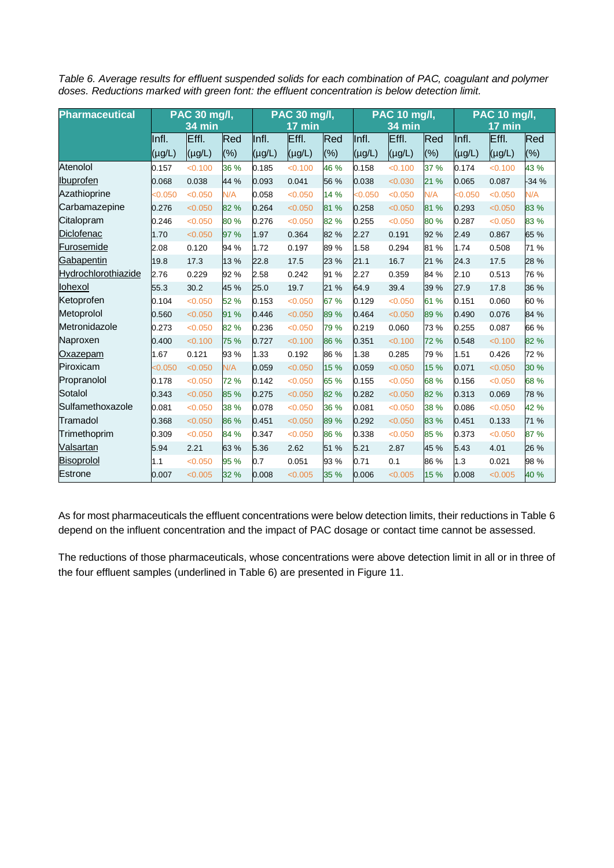*Table 6. Average results for effluent suspended solids for each combination of PAC, coagulant and polymer doses. Reductions marked with green font: the effluent concentration is below detection limit.*

| <b>Pharmaceutical</b> | <b>PAC 30 mg/l,</b> |               |      | PAC 30 mg/l, |                  | <b>PAC 10 mg/l,</b> |             |             | <b>PAC 10 mg/l,</b> |             |                  |        |
|-----------------------|---------------------|---------------|------|--------------|------------------|---------------------|-------------|-------------|---------------------|-------------|------------------|--------|
|                       |                     | <b>34 min</b> |      |              | $17 \text{ min}$ |                     |             | 34 min      |                     |             | $17 \text{ min}$ |        |
|                       | Infl.               | Effl.         | Red  | Infl.        | Effl.            | Red                 | Infl.       | Effl.       | Red                 | Infl.       | Effl.            | Red    |
|                       | (µg/L)              | $(\mu g/L)$   | (%)  | $(\mu g/L)$  | $(\mu g/L)$      | (%)                 | $(\mu g/L)$ | $(\mu g/L)$ | $(\% )$             | $(\mu g/L)$ | $(\mu g/L)$      | (%)    |
| Atenolol              | 0.157               | < 0.100       | 36 % | 0.185        | < 0.100          | 46 %                | 0.158       | < 0.100     | 37 %                | 0.174       | < 0.100          | 43 %   |
| Ibuprofen             | 0.068               | 0.038         | 44 % | 0.093        | 0.041            | 56 %                | 0.038       | < 0.030     | 21 %                | 0.065       | 0.087            | $-34%$ |
| Azathioprine          | < 0.050             | < 0.050       | N/A  | 0.058        | < 0.050          | 14 %                | < 0.050     | < 0.050     | N/A                 | < 0.050     | < 0.050          | N/A    |
| Carbamazepine         | 0.276               | < 0.050       | 82 % | 0.264        | < 0.050          | 81 %                | 0.258       | < 0.050     | 81 %                | 0.293       | < 0.050          | 83 %   |
| Citalopram            | 0.246               | < 0.050       | 80%  | 0.276        | < 0.050          | 82 %                | 0.255       | < 0.050     | 80%                 | 0.287       | < 0.050          | 83 %   |
| Diclofenac            | 1.70                | < 0.050       | 97 % | 1.97         | 0.364            | 82 %                | 2.27        | 0.191       | 92 %                | 2.49        | 0.867            | 65 %   |
| Furosemide            | 2.08                | 0.120         | 94 % | 1.72         | 0.197            | 89%                 | 1.58        | 0.294       | 81%                 | 1.74        | 0.508            | 71 %   |
| Gabapentin            | 19.8                | 17.3          | 13 % | 22.8         | 17.5             | 23 %                | 21.1        | 16.7        | 21 %                | 24.3        | 17.5             | 28 %   |
| Hydrochlorothiazide   | 2.76                | 0.229         | 92 % | 2.58         | 0.242            | 91 %                | 2.27        | 0.359       | 84 %                | 2.10        | 0.513            | 76 %   |
| lohexol               | 55.3                | 30.2          | 45 % | 25.0         | 19.7             | 21 %                | 64.9        | 39.4        | 39 %                | 27.9        | 17.8             | 36 %   |
| Ketoprofen            | 0.104               | < 0.050       | 52 % | 0.153        | < 0.050          | 67 %                | 0.129       | < 0.050     | 61 %                | 0.151       | 0.060            | 60%    |
| Metoprolol            | 0.560               | < 0.050       | 91 % | 0.446        | < 0.050          | 89 %                | 0.464       | < 0.050     | 89%                 | 0.490       | 0.076            | 84 %   |
| Metronidazole         | 0.273               | < 0.050       | 82 % | 0.236        | < 0.050          | 79 %                | 0.219       | 0.060       | 73%                 | 0.255       | 0.087            | 66 %   |
| Naproxen              | 0.400               | < 0.100       | 75 % | 0.727        | < 0.100          | 86 %                | 0.351       | < 0.100     | 72 %                | 0.548       | < 0.100          | 82 %   |
| Oxazepam              | 1.67                | 0.121         | 93%  | 1.33         | 0.192            | 86 %                | 1.38        | 0.285       | 79 %                | 1.51        | 0.426            | 72 %   |
| Piroxicam             | < 0.050             | < 0.050       | N/A  | 0.059        | < 0.050          | 15 %                | 0.059       | < 0.050     | 15 %                | 0.071       | < 0.050          | 30 %   |
| Propranolol           | 0.178               | < 0.050       | 72 % | 0.142        | < 0.050          | 65 %                | 0.155       | < 0.050     | 68 %                | 0.156       | < 0.050          | 68 %   |
| Sotalol               | 0.343               | < 0.050       | 85 % | 0.275        | < 0.050          | 82 %                | 0.282       | < 0.050     | 82 %                | 0.313       | 0.069            | 78 %   |
| Sulfamethoxazole      | 0.081               | < 0.050       | 38 % | 0.078        | < 0.050          | 36 %                | 0.081       | < 0.050     | 38 %                | 0.086       | < 0.050          | 42 %   |
| Tramadol              | 0.368               | < 0.050       | 86 % | 0.451        | < 0.050          | 89 %                | 0.292       | < 0.050     | 83%                 | 0.451       | 0.133            | 71 %   |
| Trimethoprim          | 0.309               | < 0.050       | 84 % | 0.347        | < 0.050          | 86 %                | 0.338       | < 0.050     | 85 %                | 0.373       | < 0.050          | 87 %   |
| Valsartan             | 5.94                | 2.21          | 63 % | 5.36         | 2.62             | 51 %                | 5.21        | 2.87        | 45 %                | 5.43        | 4.01             | 26 %   |
| Bisoprolol            | 1.1                 | < 0.050       | 95 % | 0.7          | 0.051            | 93 %                | 0.71        | 0.1         | 86 %                | 1.3         | 0.021            | 98 %   |
| <b>Estrone</b>        | 0.007               | < 0.005       | 32 % | 0.008        | < 0.005          | 35 %                | 0.006       | < 0.005     | 15 %                | 0.008       | < 0.005          | 40 %   |

As for most pharmaceuticals the effluent concentrations were below detection limits, their reductions in Table 6 depend on the influent concentration and the impact of PAC dosage or contact time cannot be assessed.

The reductions of those pharmaceuticals, whose concentrations were above detection limit in all or in three of the four effluent samples (underlined in Table 6) are presented in Figure 11.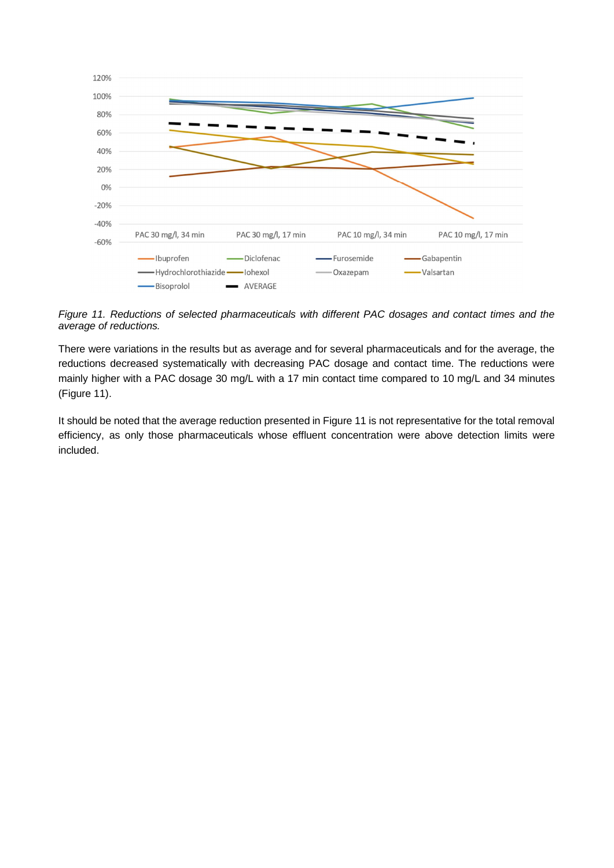

*Figure 11. Reductions of selected pharmaceuticals with different PAC dosages and contact times and the average of reductions.*

There were variations in the results but as average and for several pharmaceuticals and for the average, the reductions decreased systematically with decreasing PAC dosage and contact time. The reductions were mainly higher with a PAC dosage 30 mg/L with a 17 min contact time compared to 10 mg/L and 34 minutes (Figure 11).

It should be noted that the average reduction presented in Figure 11 is not representative for the total removal efficiency, as only those pharmaceuticals whose effluent concentration were above detection limits were included.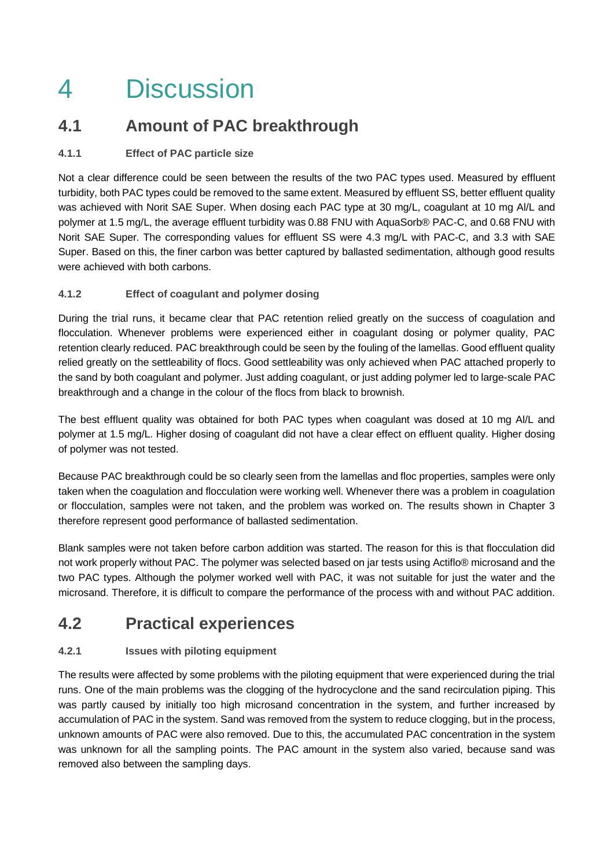## 4 Discussion

### **4.1 Amount of PAC breakthrough**

### **4.1.1 Effect of PAC particle size**

Not a clear difference could be seen between the results of the two PAC types used. Measured by effluent turbidity, both PAC types could be removed to the same extent. Measured by effluent SS, better effluent quality was achieved with Norit SAE Super. When dosing each PAC type at 30 mg/L, coagulant at 10 mg Al/L and polymer at 1.5 mg/L, the average effluent turbidity was 0.88 FNU with AquaSorb® PAC-C, and 0.68 FNU with Norit SAE Super. The corresponding values for effluent SS were 4.3 mg/L with PAC-C, and 3.3 with SAE Super. Based on this, the finer carbon was better captured by ballasted sedimentation, although good results were achieved with both carbons.

### **4.1.2 Effect of coagulant and polymer dosing**

During the trial runs, it became clear that PAC retention relied greatly on the success of coagulation and flocculation. Whenever problems were experienced either in coagulant dosing or polymer quality, PAC retention clearly reduced. PAC breakthrough could be seen by the fouling of the lamellas. Good effluent quality relied greatly on the settleability of flocs. Good settleability was only achieved when PAC attached properly to the sand by both coagulant and polymer. Just adding coagulant, or just adding polymer led to large-scale PAC breakthrough and a change in the colour of the flocs from black to brownish.

The best effluent quality was obtained for both PAC types when coagulant was dosed at 10 mg Al/L and polymer at 1.5 mg/L. Higher dosing of coagulant did not have a clear effect on effluent quality. Higher dosing of polymer was not tested.

Because PAC breakthrough could be so clearly seen from the lamellas and floc properties, samples were only taken when the coagulation and flocculation were working well. Whenever there was a problem in coagulation or flocculation, samples were not taken, and the problem was worked on. The results shown in Chapter 3 therefore represent good performance of ballasted sedimentation.

Blank samples were not taken before carbon addition was started. The reason for this is that flocculation did not work properly without PAC. The polymer was selected based on jar tests using Actiflo® microsand and the two PAC types. Although the polymer worked well with PAC, it was not suitable for just the water and the microsand. Therefore, it is difficult to compare the performance of the process with and without PAC addition.

### **4.2 Practical experiences**

### **4.2.1 Issues with piloting equipment**

The results were affected by some problems with the piloting equipment that were experienced during the trial runs. One of the main problems was the clogging of the hydrocyclone and the sand recirculation piping. This was partly caused by initially too high microsand concentration in the system, and further increased by accumulation of PAC in the system. Sand was removed from the system to reduce clogging, but in the process, unknown amounts of PAC were also removed. Due to this, the accumulated PAC concentration in the system was unknown for all the sampling points. The PAC amount in the system also varied, because sand was removed also between the sampling days.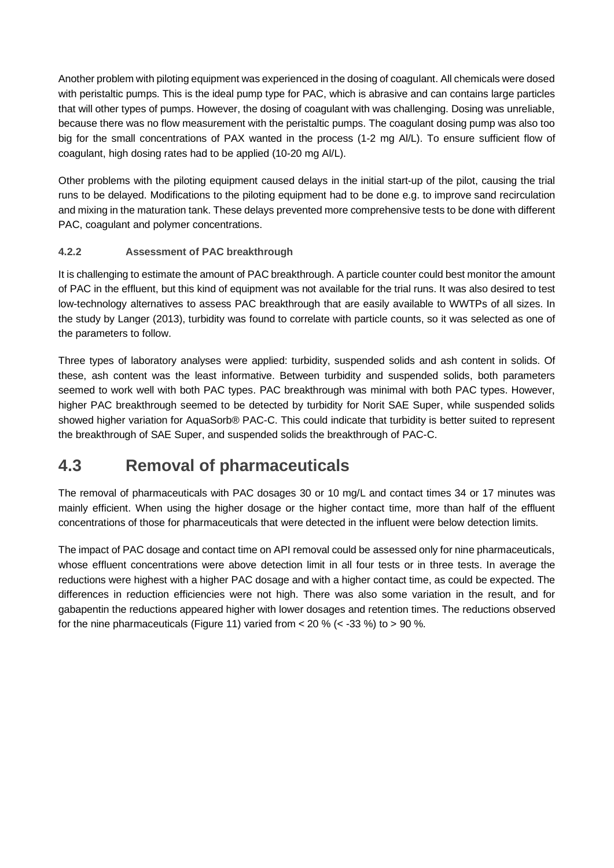Another problem with piloting equipment was experienced in the dosing of coagulant. All chemicals were dosed with peristaltic pumps. This is the ideal pump type for PAC, which is abrasive and can contains large particles that will other types of pumps. However, the dosing of coagulant with was challenging. Dosing was unreliable, because there was no flow measurement with the peristaltic pumps. The coagulant dosing pump was also too big for the small concentrations of PAX wanted in the process (1-2 mg Al/L). To ensure sufficient flow of coagulant, high dosing rates had to be applied (10-20 mg Al/L).

Other problems with the piloting equipment caused delays in the initial start-up of the pilot, causing the trial runs to be delayed. Modifications to the piloting equipment had to be done e.g. to improve sand recirculation and mixing in the maturation tank. These delays prevented more comprehensive tests to be done with different PAC, coagulant and polymer concentrations.

### **4.2.2 Assessment of PAC breakthrough**

It is challenging to estimate the amount of PAC breakthrough. A particle counter could best monitor the amount of PAC in the effluent, but this kind of equipment was not available for the trial runs. It was also desired to test low-technology alternatives to assess PAC breakthrough that are easily available to WWTPs of all sizes. In the study by Langer (2013), turbidity was found to correlate with particle counts, so it was selected as one of the parameters to follow.

Three types of laboratory analyses were applied: turbidity, suspended solids and ash content in solids. Of these, ash content was the least informative. Between turbidity and suspended solids, both parameters seemed to work well with both PAC types. PAC breakthrough was minimal with both PAC types. However, higher PAC breakthrough seemed to be detected by turbidity for Norit SAE Super, while suspended solids showed higher variation for AquaSorb® PAC-C. This could indicate that turbidity is better suited to represent the breakthrough of SAE Super, and suspended solids the breakthrough of PAC-C.

### **4.3 Removal of pharmaceuticals**

The removal of pharmaceuticals with PAC dosages 30 or 10 mg/L and contact times 34 or 17 minutes was mainly efficient. When using the higher dosage or the higher contact time, more than half of the effluent concentrations of those for pharmaceuticals that were detected in the influent were below detection limits.

The impact of PAC dosage and contact time on API removal could be assessed only for nine pharmaceuticals, whose effluent concentrations were above detection limit in all four tests or in three tests. In average the reductions were highest with a higher PAC dosage and with a higher contact time, as could be expected. The differences in reduction efficiencies were not high. There was also some variation in the result, and for gabapentin the reductions appeared higher with lower dosages and retention times. The reductions observed for the nine pharmaceuticals (Figure 11) varied from  $<$  20 % ( $<$  -33 %) to  $>$  90 %.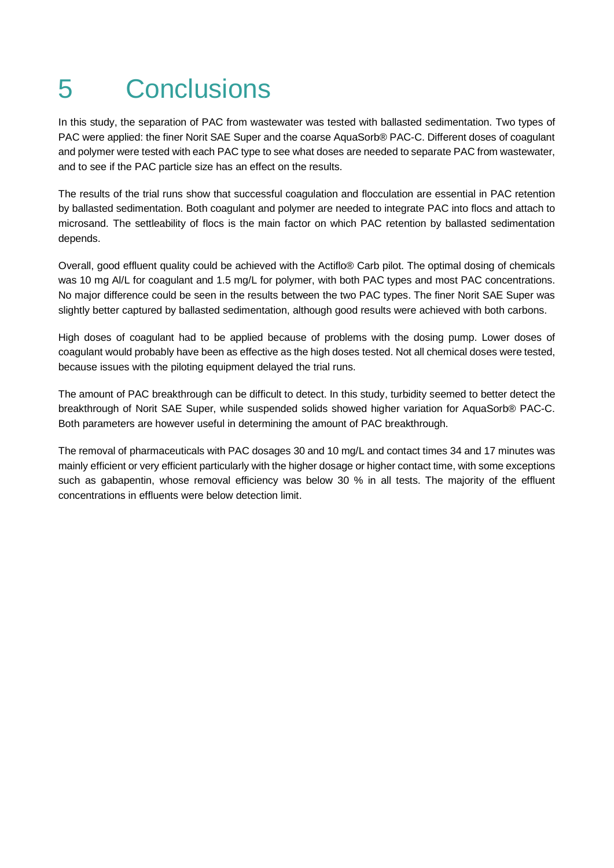## 5 Conclusions

In this study, the separation of PAC from wastewater was tested with ballasted sedimentation. Two types of PAC were applied: the finer Norit SAE Super and the coarse AquaSorb® PAC-C. Different doses of coagulant and polymer were tested with each PAC type to see what doses are needed to separate PAC from wastewater, and to see if the PAC particle size has an effect on the results.

The results of the trial runs show that successful coagulation and flocculation are essential in PAC retention by ballasted sedimentation. Both coagulant and polymer are needed to integrate PAC into flocs and attach to microsand. The settleability of flocs is the main factor on which PAC retention by ballasted sedimentation depends.

Overall, good effluent quality could be achieved with the Actiflo® Carb pilot. The optimal dosing of chemicals was 10 mg Al/L for coagulant and 1.5 mg/L for polymer, with both PAC types and most PAC concentrations. No major difference could be seen in the results between the two PAC types. The finer Norit SAE Super was slightly better captured by ballasted sedimentation, although good results were achieved with both carbons.

High doses of coagulant had to be applied because of problems with the dosing pump. Lower doses of coagulant would probably have been as effective as the high doses tested. Not all chemical doses were tested, because issues with the piloting equipment delayed the trial runs.

The amount of PAC breakthrough can be difficult to detect. In this study, turbidity seemed to better detect the breakthrough of Norit SAE Super, while suspended solids showed higher variation for AquaSorb® PAC-C. Both parameters are however useful in determining the amount of PAC breakthrough.

The removal of pharmaceuticals with PAC dosages 30 and 10 mg/L and contact times 34 and 17 minutes was mainly efficient or very efficient particularly with the higher dosage or higher contact time, with some exceptions such as gabapentin, whose removal efficiency was below 30 % in all tests. The majority of the effluent concentrations in effluents were below detection limit.